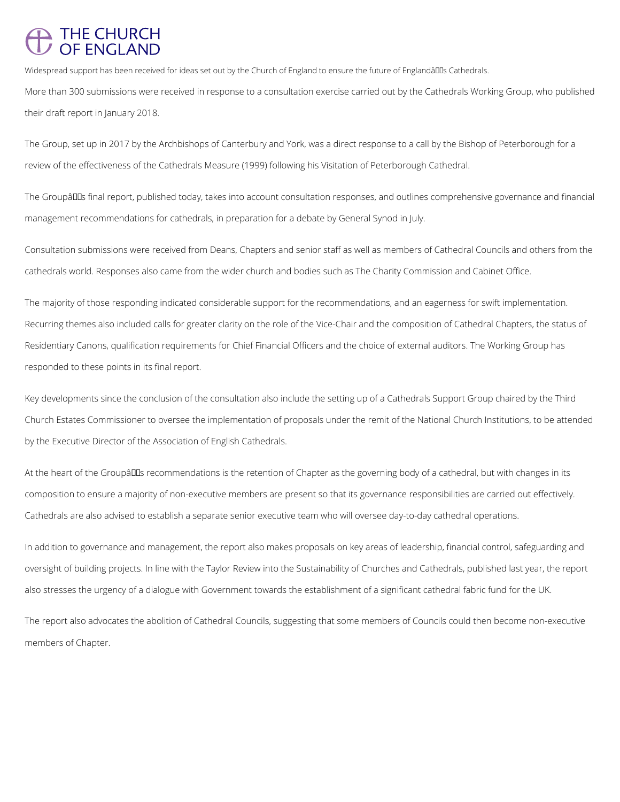## THE CHURCH<br>OF ENGLAND

Widespread support has been received for ideas set out by the Church of England to ensure the future of Englandâll Ls Cathedrals.

More than 300 submissions were received in response to a consultation exercise carried out by the Cathedrals Working Group, who published their draft report in January 2018.

The Groupâlls final report, published today, takes into account consultation responses, and outlines comprehensive governance and financial management recommendations for cathedrals, in preparation for a debate by General Synod in July.

The Group, set up in 2017 by the Archbishops of Canterbury and York, was a direct response to a call by the Bishop of Peterborough for a review of the effectiveness of the Cathedrals Measure (1999) following his Visitation of Peterborough Cathedral.

Consultation submissions were received from Deans, Chapters and senior staff as well as members of Cathedral Councils and others from the cathedrals world. Responses also came from the wider church and bodies such as The Charity Commission and Cabinet Office.

At the heart of the Groupâlls recommendations is the retention of Chapter as the governing body of a cathedral, but with changes in its composition to ensure a majority of non-executive members are present so that its governance responsibilities are carried out effectively. Cathedrals are also advised to establish a separate senior executive team who will oversee day-to-day cathedral operations.

The majority of those responding indicated considerable support for the recommendations, and an eagerness for swift implementation. Recurring themes also included calls for greater clarity on the role of the Vice-Chair and the composition of Cathedral Chapters, the status of Residentiary Canons, qualification requirements for Chief Financial Officers and the choice of external auditors. The Working Group has responded to these points in its final report.

Key developments since the conclusion of the consultation also include the setting up of a Cathedrals Support Group chaired by the Third Church Estates Commissioner to oversee the implementation of proposals under the remit of the National Church Institutions, to be attended by the Executive Director of the Association of English Cathedrals.

In addition to governance and management, the report also makes proposals on key areas of leadership, financial control, safeguarding and oversight of building projects. In line with the Taylor Review into the Sustainability of Churches and Cathedrals, published last year, the report also stresses the urgency of a dialogue with Government towards the establishment of a significant cathedral fabric fund for the UK.

The report also advocates the abolition of Cathedral Councils, suggesting that some members of Councils could then become non-executive

members of Chapter.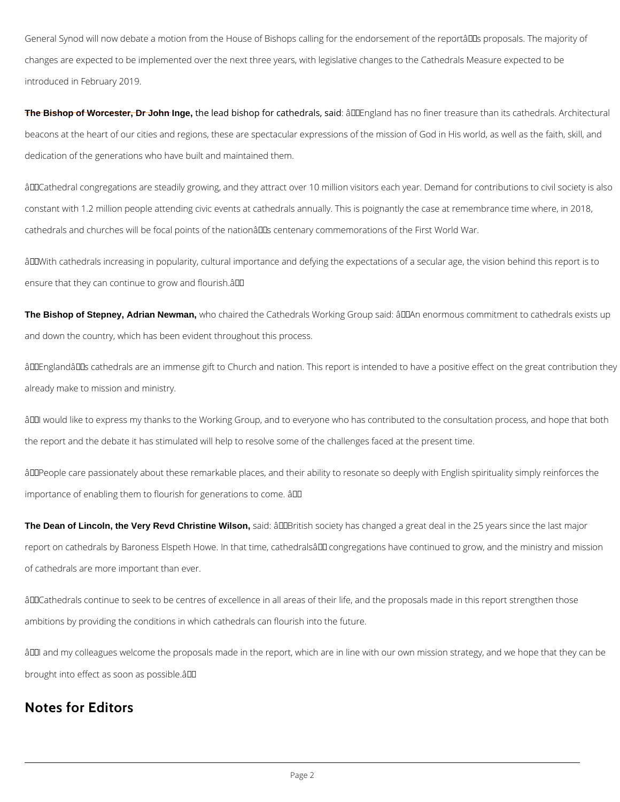General Synod will now debate a motion from the House of Bishops calling for the endorsement of the reportâll as proposals. The majority of changes are expected to be implemented over the next three years, with legislative changes to the Cathedrals Measure expected to be introduced in February 2019.

The Bishop of Worcester, Dr John Inge, the lead bishop for cathedrals, said: âQDEngland has no finer treasure than its cathedrals. Architectural beacons at the heart of our cities and regions, these are spectacular expressions of the mission of God in His world, as well as the faith, skill, and dedication of the generations who have built and maintained them.

âDDCathedral congregations are steadily growing, and they attract over 10 million visitors each year. Demand for contributions to civil society is also constant with 1.2 million people attending civic events at cathedrals annually. This is poignantly the case at remembrance time where, in 2018, cathedrals and churches will be focal points of the nationâll as centenary commemorations of the First World War.

âWith cathedrals increasing in popularity, cultural importance and defying the expectations of a secular age, the vision behind this report is to ensure that they can continue to grow and flourish. $\hat{a}$ DD

The Bishop of Stepney, Adrian Newman, who chaired the Cathedrals Working Group said: âDDAn enormous commitment to cathedrals exists up and down the country, which has been evident throughout this process.

âDDEnglandâDDs cathedrals are an immense gift to Church and nation. This report is intended to have a positive effect on the great contribution they already make to mission and ministry.

âIII would like to express my thanks to the Working Group, and to everyone who has contributed to the consultation process, and hope that both the report and the debate it has stimulated will help to resolve some of the challenges faced at the present time.

âDDPeople care passionately about these remarkable places, and their ability to resonate so deeply with English spirituality simply reinforces the importance of enabling them to flourish for generations to come. â

The Dean of Lincoln, the Very Revd Christine Wilson, said: âDDBritish society has changed a great deal in the 25 years since the last major report on cathedrals by Baroness Elspeth Howe. In that time, cathedralsâ DD congregations have continued to grow, and the ministry and mission of cathedrals are more important than ever.

âDDCathedrals continue to seek to be centres of excellence in all areas of their life, and the proposals made in this report strengthen those

ambitions by providing the conditions in which cathedrals can flourish into the future.

âDDI and my colleagues welcome the proposals made in the report, which are in line with our own mission strategy, and we hope that they can be

brought into effect as soon as possible.â

## **Notes for Editors**